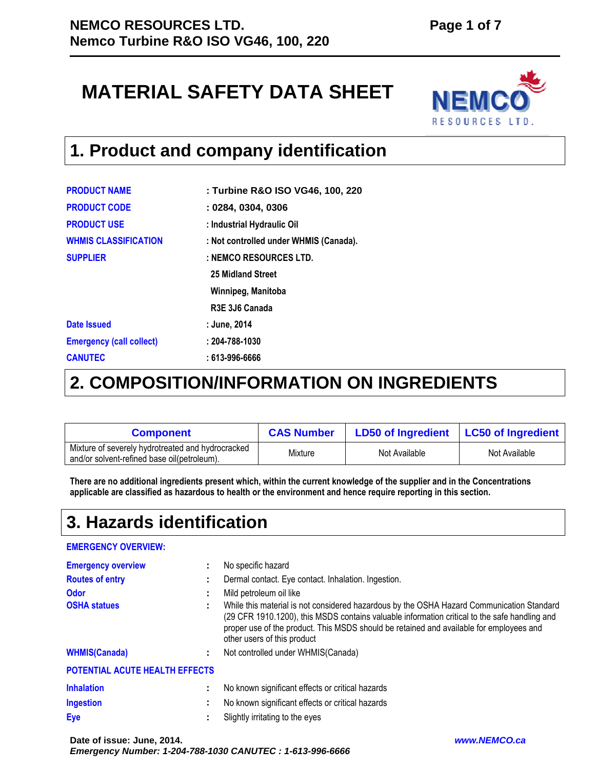# **MATERIAL SAFETY DATA SHEET**



#### **1. Product and company identification**

| : Turbine R&O ISO VG46, 100, 220        |
|-----------------------------------------|
| : 0284, 0304, 0306                      |
| : Industrial Hydraulic Oil              |
| : Not controlled under WHMIS (Canada).  |
| : NEMCO RESOURCES LTD.                  |
| 25 Midland Street                       |
| Winnipeg, Manitoba                      |
| R <sub>3</sub> E 3J <sub>6</sub> Canada |
| : June, 2014                            |
| $: 204 - 788 - 1030$                    |
| : 613-996-6666                          |
|                                         |

### **2. COMPOSITION/INFORMATION ON INGREDIENTS**

| <b>Component</b>                                                                                 | <b>CAS Number</b> | LD50 of Ingredient   LC50 of Ingredient |               |
|--------------------------------------------------------------------------------------------------|-------------------|-----------------------------------------|---------------|
| Mixture of severely hydrotreated and hydrocracked<br>and/or solvent-refined base oil(petroleum). | Mixture           | Not Available                           | Not Available |

**There are no additional ingredients present which, within the current knowledge of the supplier and in the Concentrations applicable are classified as hazardous to health or the environment and hence require reporting in this section.** 

#### **3. Hazards identification**

#### **EMERGENCY OVERVIEW:**

| <b>Emergency overview</b>      |   | No specific hazard                                                                                                                                                                                                                                                                                                   |
|--------------------------------|---|----------------------------------------------------------------------------------------------------------------------------------------------------------------------------------------------------------------------------------------------------------------------------------------------------------------------|
| <b>Routes of entry</b>         |   | Dermal contact. Eye contact. Inhalation. Ingestion.                                                                                                                                                                                                                                                                  |
| <b>Odor</b>                    |   | Mild petroleum oil like                                                                                                                                                                                                                                                                                              |
| <b>OSHA statues</b>            |   | While this material is not considered hazardous by the OSHA Hazard Communication Standard<br>(29 CFR 1910.1200), this MSDS contains valuable information critical to the safe handling and<br>proper use of the product. This MSDS should be retained and available for employees and<br>other users of this product |
| <b>WHMIS(Canada)</b>           |   | Not controlled under WHMIS(Canada)                                                                                                                                                                                                                                                                                   |
| POTENTIAL ACUTE HEALTH EFFECTS |   |                                                                                                                                                                                                                                                                                                                      |
| <b>Inhalation</b>              | ÷ | No known significant effects or critical hazards                                                                                                                                                                                                                                                                     |
| <b>Ingestion</b>               | ٠ | No known significant effects or critical hazards                                                                                                                                                                                                                                                                     |
| Eye                            |   | Slightly irritating to the eyes                                                                                                                                                                                                                                                                                      |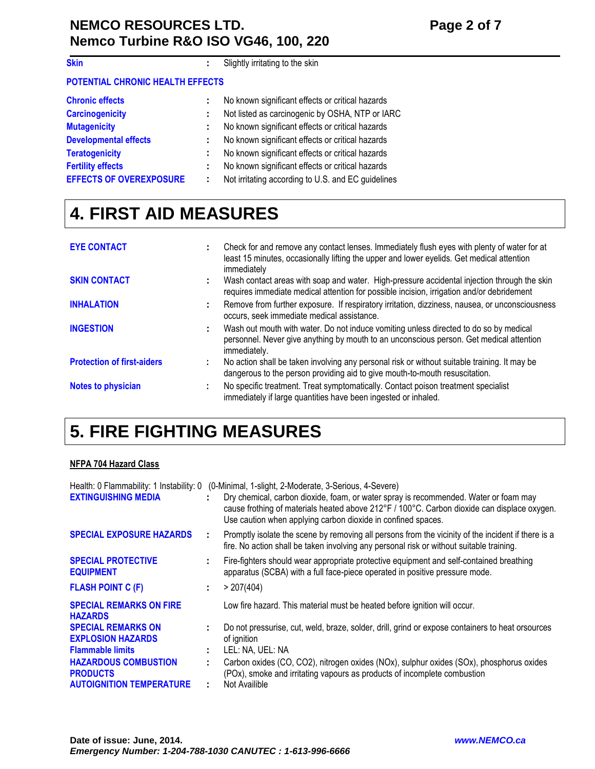#### **NEMCO RESOURCES LTD.** Page 2 of 7 **Nemco Turbine R&O ISO VG46, 100, 220**

| <b>Skin</b>                      | ÷ | Slightly irritating to the skin                    |
|----------------------------------|---|----------------------------------------------------|
| POTENTIAL CHRONIC HEALTH EFFECTS |   |                                                    |
| <b>Chronic effects</b>           |   | No known significant effects or critical hazards   |
| <b>Carcinogenicity</b>           | ÷ | Not listed as carcinogenic by OSHA, NTP or IARC    |
| <b>Mutagenicity</b>              |   | No known significant effects or critical hazards   |
| <b>Developmental effects</b>     | ÷ | No known significant effects or critical hazards   |
| <b>Teratogenicity</b>            |   | No known significant effects or critical hazards   |
| <b>Fertility effects</b>         | ÷ | No known significant effects or critical hazards   |
| <b>EFFECTS OF OVEREXPOSURE</b>   | ÷ | Not irritating according to U.S. and EC guidelines |

## **4. FIRST AID MEASURES**

| <b>EYE CONTACT</b>                |    | Check for and remove any contact lenses. Immediately flush eyes with plenty of water for at<br>least 15 minutes, occasionally lifting the upper and lower eyelids. Get medical attention<br>immediately |
|-----------------------------------|----|---------------------------------------------------------------------------------------------------------------------------------------------------------------------------------------------------------|
| <b>SKIN CONTACT</b>               | ÷. | Wash contact areas with soap and water. High-pressure accidental injection through the skin<br>requires immediate medical attention for possible incision, irrigation and/or debridement                |
| <b>INHALATION</b>                 |    | Remove from further exposure. If respiratory irritation, dizziness, nausea, or unconsciousness<br>occurs, seek immediate medical assistance.                                                            |
| <b>INGESTION</b>                  | ÷. | Wash out mouth with water. Do not induce vomiting unless directed to do so by medical<br>personnel. Never give anything by mouth to an unconscious person. Get medical attention<br>immediately.        |
| <b>Protection of first-aiders</b> | ÷  | No action shall be taken involving any personal risk or without suitable training. It may be<br>dangerous to the person providing aid to give mouth-to-mouth resuscitation.                             |
| <b>Notes to physician</b>         |    | No specific treatment. Treat symptomatically. Contact poison treatment specialist<br>immediately if large quantities have been ingested or inhaled.                                                     |

## **5. FIRE FIGHTING MEASURES**

#### **NFPA 704 Hazard Class**

| <b>EXTINGUISHING MEDIA</b>                                                        |          | Health: 0 Flammability: 1 Instability: 0 (0-Minimal, 1-slight, 2-Moderate, 3-Serious, 4-Severe)<br>Dry chemical, carbon dioxide, foam, or water spray is recommended. Water or foam may<br>cause frothing of materials heated above 212°F / 100°C. Carbon dioxide can displace oxygen.<br>Use caution when applying carbon dioxide in confined spaces. |
|-----------------------------------------------------------------------------------|----------|--------------------------------------------------------------------------------------------------------------------------------------------------------------------------------------------------------------------------------------------------------------------------------------------------------------------------------------------------------|
| <b>SPECIAL EXPOSURE HAZARDS</b>                                                   |          | Promptly isolate the scene by removing all persons from the vicinity of the incident if there is a<br>fire. No action shall be taken involving any personal risk or without suitable training.                                                                                                                                                         |
| <b>SPECIAL PROTECTIVE</b><br><b>EQUIPMENT</b>                                     | ÷.       | Fire-fighters should wear appropriate protective equipment and self-contained breathing<br>apparatus (SCBA) with a full face-piece operated in positive pressure mode.                                                                                                                                                                                 |
| <b>FLASH POINT C (F)</b>                                                          | ÷.       | > 207(404)                                                                                                                                                                                                                                                                                                                                             |
| <b>SPECIAL REMARKS ON FIRE</b><br><b>HAZARDS</b>                                  |          | Low fire hazard. This material must be heated before ignition will occur.                                                                                                                                                                                                                                                                              |
| <b>SPECIAL REMARKS ON</b><br><b>EXPLOSION HAZARDS</b><br><b>Flammable limits</b>  | ÷.<br>÷. | Do not pressurise, cut, weld, braze, solder, drill, grind or expose containers to heat orsources<br>of ignition<br>LEL: NA, UEL: NA                                                                                                                                                                                                                    |
| <b>HAZARDOUS COMBUSTION</b><br><b>PRODUCTS</b><br><b>AUTOIGNITION TEMPERATURE</b> | ÷.<br>÷. | Carbon oxides (CO, CO2), nitrogen oxides (NOx), sulphur oxides (SOx), phosphorus oxides<br>(POx), smoke and irritating vapours as products of incomplete combustion<br>Not Availible                                                                                                                                                                   |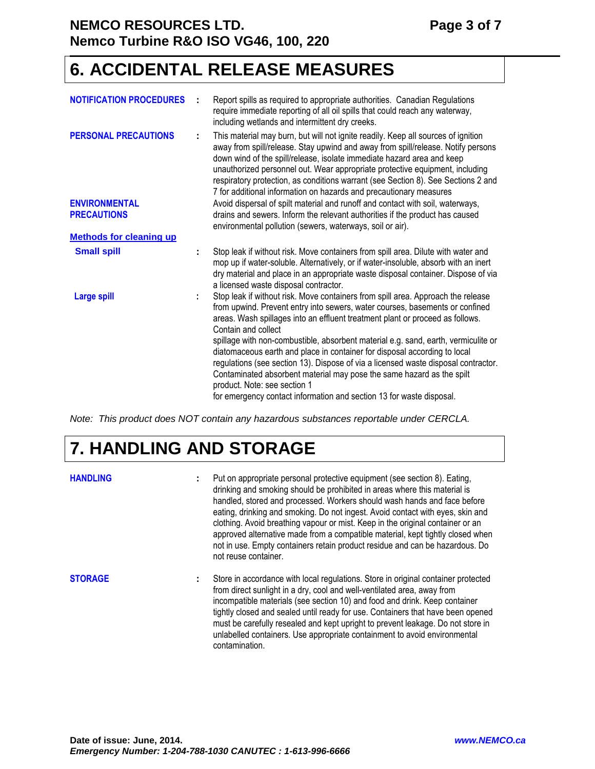#### **NEMCO RESOURCES LTD.** Page 3 of 7 **Nemco Turbine R&O ISO VG46, 100, 220**

#### **6. ACCIDENTAL RELEASE MEASURES**

|    | Report spills as required to appropriate authorities. Canadian Regulations<br>require immediate reporting of all oil spills that could reach any waterway,<br>including wetlands and intermittent dry creeks.                                                                                                                                                                                                                                                                                                                                                                                                                                                                                                      |
|----|--------------------------------------------------------------------------------------------------------------------------------------------------------------------------------------------------------------------------------------------------------------------------------------------------------------------------------------------------------------------------------------------------------------------------------------------------------------------------------------------------------------------------------------------------------------------------------------------------------------------------------------------------------------------------------------------------------------------|
| ÷  | This material may burn, but will not ignite readily. Keep all sources of ignition<br>away from spill/release. Stay upwind and away from spill/release. Notify persons<br>down wind of the spill/release, isolate immediate hazard area and keep<br>unauthorized personnel out. Wear appropriate protective equipment, including<br>respiratory protection, as conditions warrant (see Section 8). See Sections 2 and<br>7 for additional information on hazards and precautionary measures                                                                                                                                                                                                                         |
|    | Avoid dispersal of spilt material and runoff and contact with soil, waterways,                                                                                                                                                                                                                                                                                                                                                                                                                                                                                                                                                                                                                                     |
|    | drains and sewers. Inform the relevant authorities if the product has caused<br>environmental pollution (sewers, waterways, soil or air).                                                                                                                                                                                                                                                                                                                                                                                                                                                                                                                                                                          |
|    |                                                                                                                                                                                                                                                                                                                                                                                                                                                                                                                                                                                                                                                                                                                    |
| ÷  | Stop leak if without risk. Move containers from spill area. Dilute with water and<br>mop up if water-soluble. Alternatively, or if water-insoluble, absorb with an inert<br>dry material and place in an appropriate waste disposal container. Dispose of via<br>a licensed waste disposal contractor.                                                                                                                                                                                                                                                                                                                                                                                                             |
| ÷. | Stop leak if without risk. Move containers from spill area. Approach the release<br>from upwind. Prevent entry into sewers, water courses, basements or confined<br>areas. Wash spillages into an effluent treatment plant or proceed as follows.<br>Contain and collect<br>spillage with non-combustible, absorbent material e.g. sand, earth, vermiculite or<br>diatomaceous earth and place in container for disposal according to local<br>regulations (see section 13). Dispose of via a licensed waste disposal contractor.<br>Contaminated absorbent material may pose the same hazard as the spilt<br>product. Note: see section 1<br>for emergency contact information and section 13 for waste disposal. |
|    |                                                                                                                                                                                                                                                                                                                                                                                                                                                                                                                                                                                                                                                                                                                    |

Note: This product does NOT contain any hazardous substances reportable under CERCLA.

## **7. HANDLING AND STORAGE**

| <b>HANDLING</b> |    | Put on appropriate personal protective equipment (see section 8). Eating,<br>drinking and smoking should be prohibited in areas where this material is<br>handled, stored and processed. Workers should wash hands and face before<br>eating, drinking and smoking. Do not ingest. Avoid contact with eyes, skin and<br>clothing. Avoid breathing vapour or mist. Keep in the original container or an<br>approved alternative made from a compatible material, kept tightly closed when<br>not in use. Empty containers retain product residue and can be hazardous. Do<br>not reuse container. |
|-----------------|----|--------------------------------------------------------------------------------------------------------------------------------------------------------------------------------------------------------------------------------------------------------------------------------------------------------------------------------------------------------------------------------------------------------------------------------------------------------------------------------------------------------------------------------------------------------------------------------------------------|
| <b>STORAGE</b>  | ÷. | Store in accordance with local regulations. Store in original container protected<br>from direct sunlight in a dry, cool and well-ventilated area, away from<br>incompatible materials (see section 10) and food and drink. Keep container<br>tightly closed and sealed until ready for use. Containers that have been opened<br>must be carefully resealed and kept upright to prevent leakage. Do not store in<br>unlabelled containers. Use appropriate containment to avoid environmental<br>contamination.                                                                                  |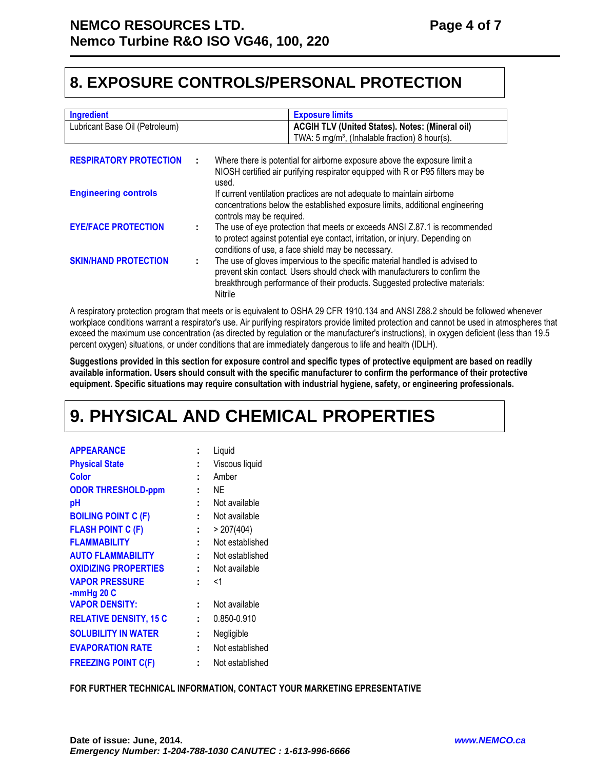#### **8. EXPOSURE CONTROLS/PERSONAL PROTECTION**

| <b>Ingredient</b>              |   | <b>Exposure limits</b>                                                                                                                                                                                                                              |
|--------------------------------|---|-----------------------------------------------------------------------------------------------------------------------------------------------------------------------------------------------------------------------------------------------------|
| Lubricant Base Oil (Petroleum) |   | <b>ACGIH TLV (United States). Notes: (Mineral oil)</b>                                                                                                                                                                                              |
|                                |   | TWA: 5 mg/m <sup>3</sup> , (Inhalable fraction) 8 hour(s).                                                                                                                                                                                          |
|                                |   |                                                                                                                                                                                                                                                     |
| <b>RESPIRATORY PROTECTION</b>  | ÷ | Where there is potential for airborne exposure above the exposure limit a                                                                                                                                                                           |
|                                |   | NIOSH certified air purifying respirator equipped with R or P95 filters may be<br>used.                                                                                                                                                             |
| <b>Engineering controls</b>    |   | If current ventilation practices are not adequate to maintain airborne                                                                                                                                                                              |
|                                |   | concentrations below the established exposure limits, additional engineering<br>controls may be required.                                                                                                                                           |
| <b>EYE/FACE PROTECTION</b>     |   | The use of eye protection that meets or exceeds ANSI Z.87.1 is recommended                                                                                                                                                                          |
|                                |   | to protect against potential eye contact, irritation, or injury. Depending on                                                                                                                                                                       |
|                                |   | conditions of use, a face shield may be necessary.                                                                                                                                                                                                  |
| <b>SKIN/HAND PROTECTION</b>    | ÷ | The use of gloves impervious to the specific material handled is advised to<br>prevent skin contact. Users should check with manufacturers to confirm the<br>breakthrough performance of their products. Suggested protective materials:<br>Nitrile |

A respiratory protection program that meets or is equivalent to OSHA 29 CFR 1910.134 and ANSI Z88.2 should be followed whenever workplace conditions warrant a respirator's use. Air purifying respirators provide limited protection and cannot be used in atmospheres that exceed the maximum use concentration (as directed by regulation or the manufacturer's instructions), in oxygen deficient (less than 19.5 percent oxygen) situations, or under conditions that are immediately dangerous to life and health (IDLH).

**Suggestions provided in this section for exposure control and specific types of protective equipment are based on readily available information. Users should consult with the specific manufacturer to confirm the performance of their protective equipment. Specific situations may require consultation with industrial hygiene, safety, or engineering professionals.**

## **9. PHYSICAL AND CHEMICAL PROPERTIES**

| <b>APPEARANCE</b>             |   | Liquid          |
|-------------------------------|---|-----------------|
| <b>Physical State</b>         |   | Viscous liquid  |
| Color                         |   | Amber           |
| <b>ODOR THRESHOLD-ppm</b>     |   | ΝF              |
| рH                            |   | Not available   |
| <b>BOILING POINT C (F)</b>    |   | Not available   |
| <b>FLASH POINT C (F)</b>      | t | > 207(404)      |
| <b>FLAMMABILITY</b>           |   | Not established |
| <b>AUTO FLAMMABILITY</b>      | t | Not established |
| <b>OXIDIZING PROPERTIES</b>   |   | Not available   |
| <b>VAPOR PRESSURE</b>         |   | <1              |
| -mmHg $20C$                   |   |                 |
| <b>VAPOR DENSITY:</b>         |   | Not available   |
| <b>RELATIVE DENSITY, 15 C</b> |   | 0.850-0.910     |
| <b>SOLUBILITY IN WATER</b>    |   | Negligible      |
| <b>EVAPORATION RATE</b>       |   | Not established |
| <b>FREEZING POINT C(F)</b>    |   | Not established |

**FOR FURTHER TECHNICAL INFORMATION, CONTACT YOUR MARKETING EPRESENTATIVE**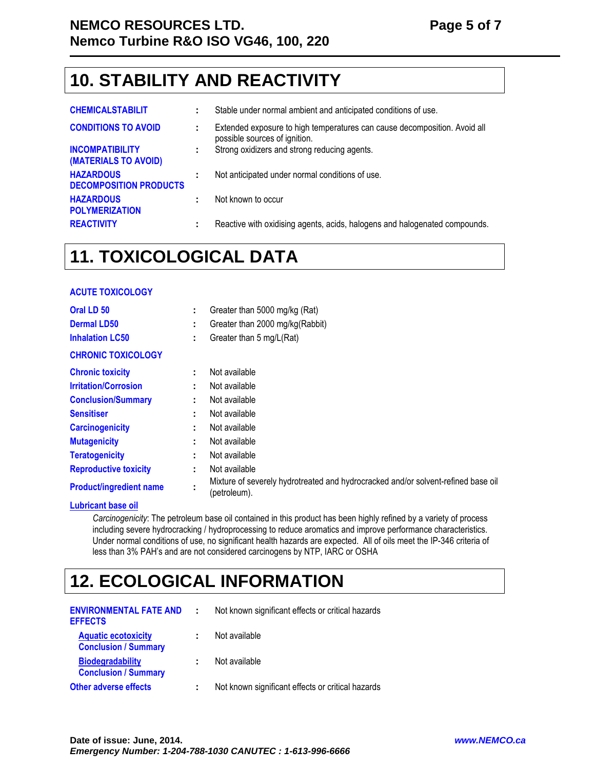### **10. STABILITY AND REACTIVITY**

| <b>CHEMICALSTABILIT</b>                           |    | Stable under normal ambient and anticipated conditions of use.                                             |
|---------------------------------------------------|----|------------------------------------------------------------------------------------------------------------|
| <b>CONDITIONS TO AVOID</b>                        | ÷. | Extended exposure to high temperatures can cause decomposition. Avoid all<br>possible sources of ignition. |
| <b>INCOMPATIBILITY</b><br>(MATERIALS TO AVOID)    | ÷  | Strong oxidizers and strong reducing agents.                                                               |
| <b>HAZARDOUS</b><br><b>DECOMPOSITION PRODUCTS</b> |    | Not anticipated under normal conditions of use.                                                            |
| <b>HAZARDOUS</b><br><b>POLYMERIZATION</b>         |    | Not known to occur                                                                                         |
| <b>REACTIVITY</b>                                 | ÷  | Reactive with oxidising agents, acids, halogens and halogenated compounds.                                 |

### **11. TOXICOLOGICAL DATA**

| <b>ACUTE TOXICOLOGY</b>        |    |                                                                                                   |
|--------------------------------|----|---------------------------------------------------------------------------------------------------|
| Oral LD <sub>50</sub>          | ÷  | Greater than 5000 mg/kg (Rat)                                                                     |
| <b>Dermal LD50</b>             | ÷  | Greater than 2000 mg/kg(Rabbit)                                                                   |
| <b>Inhalation LC50</b>         | ÷  | Greater than 5 mg/L(Rat)                                                                          |
| <b>CHRONIC TOXICOLOGY</b>      |    |                                                                                                   |
| <b>Chronic toxicity</b>        |    | Not available                                                                                     |
| <b>Irritation/Corrosion</b>    | ÷  | Not available                                                                                     |
| <b>Conclusion/Summary</b>      | ÷  | Not available                                                                                     |
| <b>Sensitiser</b>              | ٠  | Not available                                                                                     |
| <b>Carcinogenicity</b>         |    | Not available                                                                                     |
| <b>Mutagenicity</b>            |    | Not available                                                                                     |
| <b>Teratogenicity</b>          | ٠  | Not available                                                                                     |
| <b>Reproductive toxicity</b>   | ٠. | Not available                                                                                     |
| <b>Product/ingredient name</b> | ٠  | Mixture of severely hydrotreated and hydrocracked and/or solvent-refined base oil<br>(petroleum). |
| اللمامممط فمممته واستناد       |    |                                                                                                   |

#### **Lubricant base oil**

*Carcinogenicity*: The petroleum base oil contained in this product has been highly refined by a variety of process including severe hydrocracking / hydroprocessing to reduce aromatics and improve performance characteristics. Under normal conditions of use, no significant health hazards are expected. All of oils meet the IP-346 criteria of less than 3% PAH's and are not considered carcinogens by NTP, IARC or OSHA

## **12. ECOLOGICAL INFORMATION**

| <b>ENVIRONMENTAL FATE AND</b><br><b>EFFECTS</b>           | Not known significant effects or critical hazards |
|-----------------------------------------------------------|---------------------------------------------------|
| <b>Aquatic ecotoxicity</b><br><b>Conclusion / Summary</b> | Not available                                     |
| <b>Biodegradability</b><br><b>Conclusion / Summary</b>    | Not available                                     |
| <b>Other adverse effects</b>                              | Not known significant effects or critical hazards |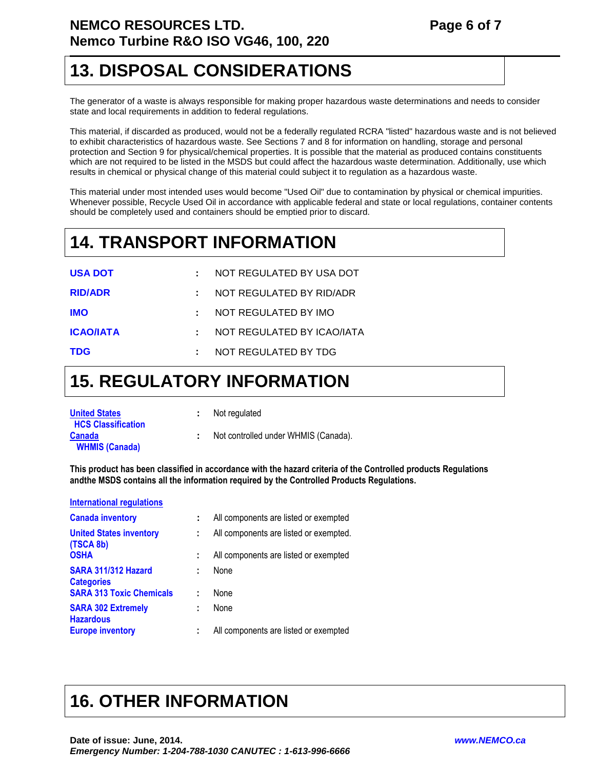#### **NEMCO RESOURCES LTD.** Page 6 of 7 **Nemco Turbine R&O ISO VG46, 100, 220**

#### **13. DISPOSAL CONSIDERATIONS**

The generator of a waste is always responsible for making proper hazardous waste determinations and needs to consider state and local requirements in addition to federal regulations.

This material, if discarded as produced, would not be a federally regulated RCRA "listed" hazardous waste and is not believed to exhibit characteristics of hazardous waste. See Sections 7 and 8 for information on handling, storage and personal protection and Section 9 for physical/chemical properties. It is possible that the material as produced contains constituents which are not required to be listed in the MSDS but could affect the hazardous waste determination. Additionally, use which results in chemical or physical change of this material could subject it to regulation as a hazardous waste.

This material under most intended uses would become "Used Oil" due to contamination by physical or chemical impurities. Whenever possible, Recycle Used Oil in accordance with applicable federal and state or local regulations, container contents should be completely used and containers should be emptied prior to discard.

### **14. TRANSPORT INFORMATION**

| <b>USA DOT</b>   | : NOT REGULATED BY USA DOT   |
|------------------|------------------------------|
| <b>RID/ADR</b>   | $:$ NOT REGULATED BY RID/ADR |
| <b>IMO</b>       | : NOT REGULATED BY IMO       |
| <b>ICAO/IATA</b> | : NOT REGULATED BY ICAO/IATA |
| <b>TDG</b>       | NOT REGULATED BY TDG         |

### **15. REGULATORY INFORMATION**

| <b>United States</b><br><b>HCS Classification</b> | : Not regulated                      |  |
|---------------------------------------------------|--------------------------------------|--|
| <b>Canada</b>                                     | Not controlled under WHMIS (Canada). |  |
| <b>WHMIS (Canada)</b>                             |                                      |  |

**This product has been classified in accordance with the hazard criteria of the Controlled products Regulations andthe MSDS contains all the information required by the Controlled Products Regulations.** 

| <b>International regulations</b>              |   |                                        |
|-----------------------------------------------|---|----------------------------------------|
| <b>Canada inventory</b>                       | ÷ | All components are listed or exempted  |
| <b>United States inventory</b><br>(TSCA 8b)   | ÷ | All components are listed or exempted. |
| <b>OSHA</b>                                   | ÷ | All components are listed or exempted  |
| SARA 311/312 Hazard<br><b>Categories</b>      | ÷ | None                                   |
| <b>SARA 313 Toxic Chemicals</b>               | t | None                                   |
| <b>SARA 302 Extremely</b><br><b>Hazardous</b> | ÷ | None                                   |
| <b>Europe inventory</b>                       |   | All components are listed or exempted  |

## **16. OTHER INFORMATION**